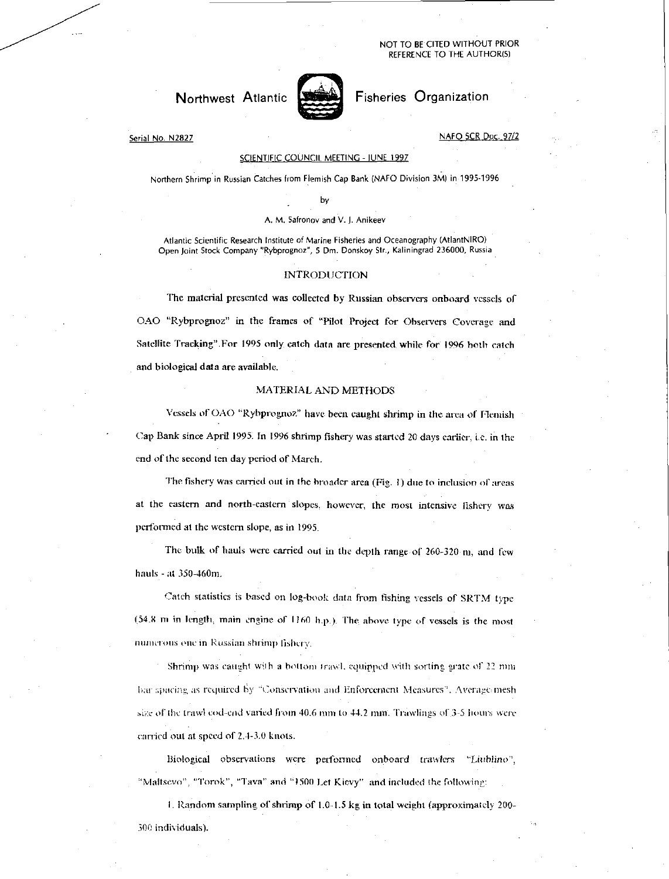#### NOT TO BE CITED WITHOUT PRIOR REFERENCE TO THE AUTHOR(S)

## Northwest Atlantic



# Fisheries Organization

Serial No. N2827

## NAFO SCR Doc. 97/2

#### SCIENTIFIC COUNCIL MEETING - JUNE 1997

Northern Shrimp in Russian Catches from Flemish Cap Bank (NAFO Division 3M) in 1995-1996 by

#### A. M. Safronov and V. J. Anikeev

Atlantic Scientific Research Institute of Marine Fisheries and Oceanography (AtlantNIRO) Open joint Stock Company "Rybprognoz", S Dm. Donskoy Str., Kaliningrad 236000, Russia

### INTRODUCTION

The material presented was collected by Russian observers onboard vessels of OAO "Rybprognoz" in the frames of "Pilot Project for Observers Coverage and Satellite Tracking".For 1995 only catch data are presented while for 1996 both catch and biological data are available.

## MATERIAL AND METHODS

Vessels of OAO "Rybprognoz" have been caught shrimp in the area of Flemish Cap Bank since April 1995: In 1996 shrimp fishery was started 20 days earlier, i.e. in the end of the second ten day period of March.

The fishery was carried out in the broader area (Pig. 1) due to inclusion or areas at the eastern and north-eastern slopes, however, the most intensive fishery was performed at the western slope, as in 1995.

The bulk of hauls were carried out in the depth range of  $260-320$  m, and few hauls - at 350-460m.

Catch statistics is based on log-hook data from fishing vessels of SRTM type (54.8 in in length, main engine or 1160 hp.). The above type of vessels is the most numerous one in Russian shrimp fishery.

Shrimp was caught with a bottom trawl, equipped with sorting grate of 22 mm bar spacing as required by "Conservation and Enforcement Measures". Average mesh size of the trawl cod-end varied from  $40.6$  mm to  $44.2$  mm. Trawlings of  $3-5$  hours were carried out at speed of 2.4-3.0 knots.

Biological observations were performed onboard trawlers "Liublino", "Maltsevo", "Torok", "Tava" and "1500 Let Kievy" and included the following:

I. Random sampling of shrimp of 1.0-1.5 kg in total weight (approximately 200- 300 individuals).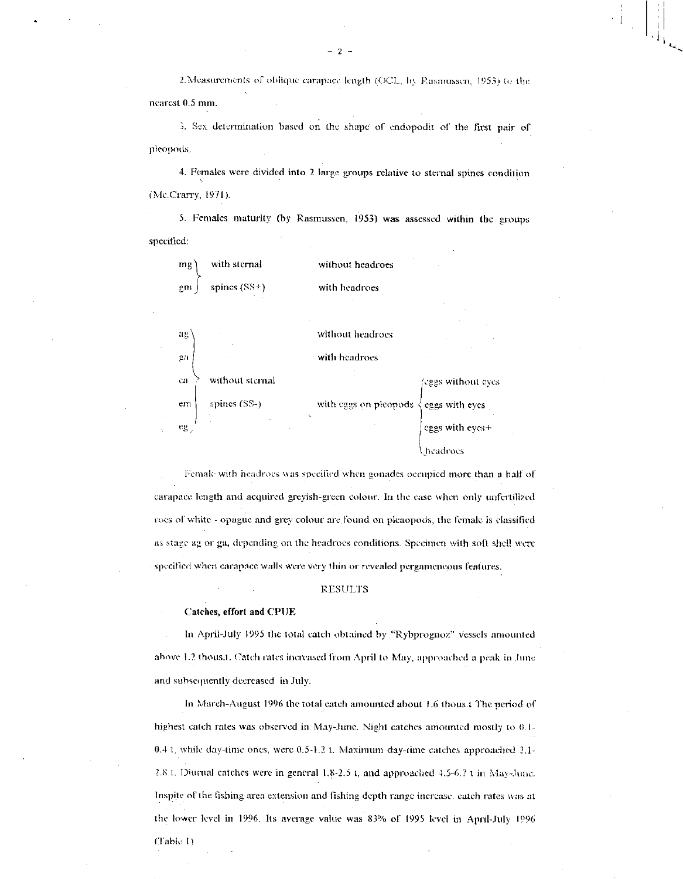2. Measurements of oblique carapace length (OCL, by Rasmussen, 1953) to the neatest 0.5 mm.

3. Sex determination based on the shape of endopodit of the first pair of pleopods.

4. Females were divided into 2 large groups relative to sternal spines condition (Mc.Crany, 1971).

5. Females maturity (by Rasmussen, 1953) was assessed within the groups specified:

| mg <sup>2</sup>   | with sternal    | without headroes           |                                                   |
|-------------------|-----------------|----------------------------|---------------------------------------------------|
| 2 <sub>n</sub>    | spines $(SS+)$  | with headroes              |                                                   |
| $\mathbf{ag}$     |                 | without headroes           |                                                   |
| $\mu n$           |                 | with headroes              |                                                   |
| ca                | without sternal |                            | eggs without eyes                                 |
| em                | spines (SS-)    | with eggs on pleopods<br>X | $\begin{cases} \text{eggs with eyes} \end{cases}$ |
| $e_{\mathcal{S}}$ |                 |                            | eggs with eyes+                                   |
|                   |                 |                            | headroes                                          |

Female with headroes was specified when gonades occupied more than a half of carapace length and acquired greyish-green colour. In the case when only unfertilized roes or white - opague and grey colour are found on pleaopods, the female is classified as stage ag or ga, depending on the headroes conditions. Specimen with soft shell were specified when carapace walls were very thin or revealed pergameneous features.

#### RESULTS

#### Catches, effort and CPUE

in April-July 1995 the total catch obtained by "Rybprognoz" vessels amounted above 1.2 thous.t. Catch rates increased from April to May, approached a peak in lune and subsequently decreased in July.

In March-August 1996 the total catch amounted about 1.6 thous.t The period of highest catch rates was observed in May-June. Night catches amounted mostly to 0.1- 0.4 1, while day-time ones, were 0.5-1.2 t. Maximum day-time catches approached 2.1- 2.8 t. Diurnal catches were in general  $1.8-2.5$  t, and approached  $4.5-6.7$  t in May-June. Inspite of the fishing area extension and fishing depth range increase. catch rates was at the lower level in 1996. Its average value was 83% of 1995 level in April-July 1996 (Table I)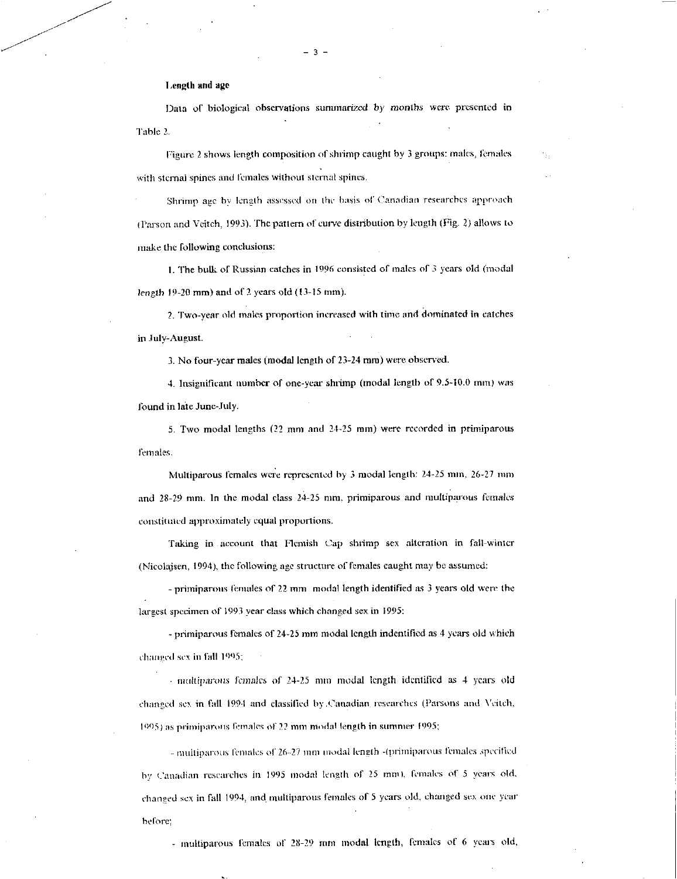## Length and age

Data of biological observations summarized by months were presented in Table 2.

Figure 2 shows length composition of shrimp caught by 3 groups: males, females with sternal spines and females without sternal spines.

Shrimp age by length assessed on the basis of Canadian researches approach (Parson and Veitch, 1993). The pattern of curve distribution by length (Fig. 2) allows to make the following conclusions:

1. The bulk of Russian catches in 1996 consisted of males of 3 years old (modal *length* 19-20 mm) and of 2 years old (13-15 mm).

2. Two-year old males proportion increased with time and dominated in catches in July-August.

3. No four-year males (modal length of 23-24 mm) were observed.

4. Insignificant number of one-year shrimp (modal length of  $9.5-10.0$  mm) was found in late June-July.

5. Two modal lengths (22 mm and 24-25 min) were recorded in primiparous females.

Multiparous females were represented by 3 modal length: 24-25 mm, 26-27 min and 28-29 mm. In the modal class 24-25 mm, primiparous and multiparous females constituted approximately equal proportions.

Taking in account that Flemish Cap shrimp sex alteration in fall-winter (Nicolajsen, 1994), the following age structure of females caught may be assumed:

- primiparous females of 22 mm modal length identified as 3 years old were the largest specimen of 1993 year class which changed sex in 1995:

- primiparous females of 24-25 mm modal length indentified as 4 years old which changed sex in fall 1995;

 $\cdot$  multiparous females of 24-25 mm modal length identified as 4 years old changed sex in fall 1994 and classified by .Canadian researches (Parsons and Witch, 1995) as primiparous females of 22 mm modal length in summer 1995;

- multiparous females of 26-27 mm modal length -(primiparous females specified by Canadian researches in 1995 modal length of 25 mm), females of 5 years old, changed sex in fall 1994, and multiparous females of 5 years old, changed sex one year before;

- multiparous females of 28-29 mm modal length, females of 6 years old,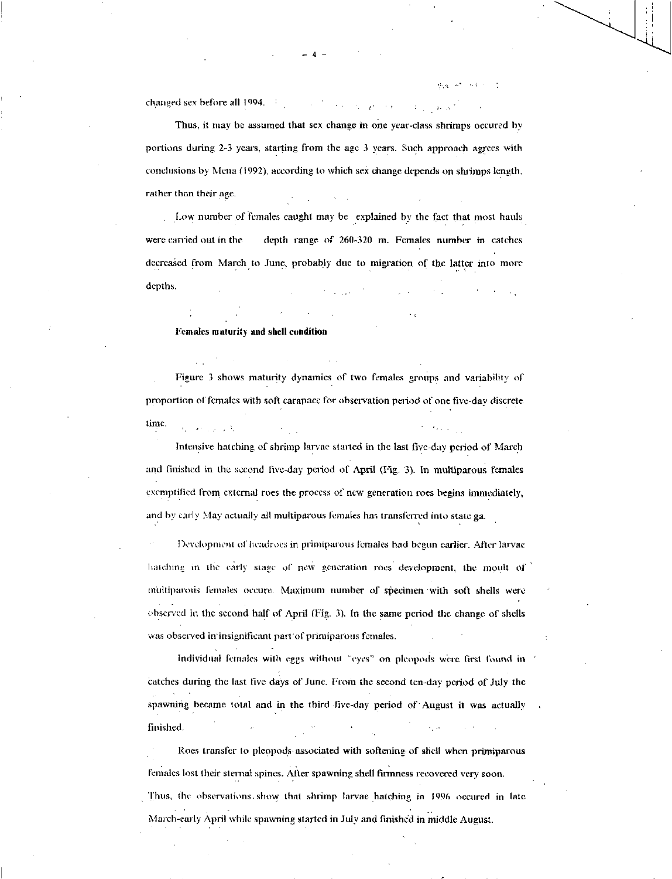changed sex before all 1994.

Thus, it may be assumed that sex change in one year-class shrimps occured by portions during 2-3 years, starting from the age 3 years. Such approach agrees with conclusions by Mena (1992), according to which sex change depends on shrimps length, rather than their age.

Low number of females caught may be explained by the fact that most hauls were carried out in the depth range of 260-320 m. Females number in catches decreased from March to June, probably due to migration of the latter into more depths.

Females maturity and shell condition

Figure 3 shows maturity dynamics of two females groups and variability of proportion of females with soft carapace for observation period of one five-day discrete. time.

Intensive hatching of shrimp larvae started in the last live-day period of March and finished in the second five-day period of April (Fig. 3). In multiparous females exemplified from. external roes the process of new generation roes begins immediately, and by early May actually all multiparous females has transferred into state ga.

Hevelopment of headrocs in primiparous females had begun earlier. After larvae hatching in the early stage of new generation roes development, the moult of nfultiparotis females occure. Maximum number of specimen 'with soft shells were observed in the second half of April (Fig. 3). In the same period the change of shells was observed in insignificant part of primiparous females.

Individual females with eggs without "eyes" on pleopods were first found in catches during the last five days of June. From the second ten-day period of July the spawning became total and in the third five-day period of August it was actually finished.

Roes transfer to pleppods associated with softening of shell when primiparous females lost their sternal spines. Alter spawning shell firmness recovered very soon. Thus, the observations. show that shrimp larvae hatching in 1996 occured in late March-early April while spawning started in July and finished in middle August.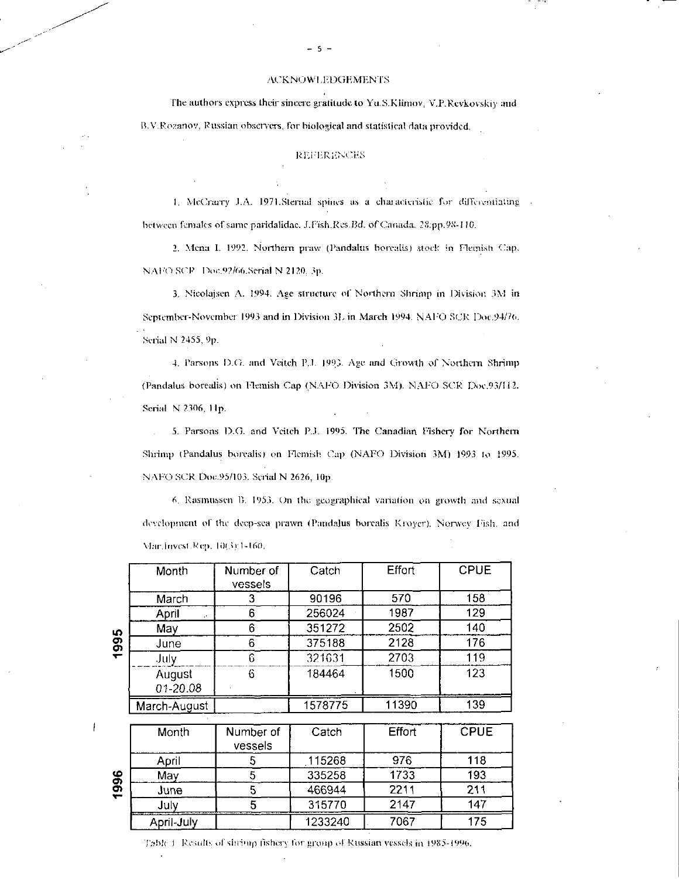### ACKNOWLEDGEMENTS

The authors express their sincere gratitude to Yu.S.Klimov, V.P.Revkovskiy and B. V.Rozanov, Russian observers, for biological and statistical data provided.

## **REFERENCES**

1. McCrzury I.A. 1971.Sternal spines as a ehancierislie for differentiating between females of same paridalidae. J.Fish.Res.Bd. of Canada. 28:pp.98-110.

2. Mena I. 1992. Northern praw (Pandalus borealis) stock in Flemish Cap. NAF/O SCP Doc.92/66.Serial N 2120, 3p.

3. Nicolajsen A. 1994. Age structure of Northern Shrimp in Division 3M in September-November 1993 and in Division 31, in March 1994. NATO SCR Doc.94/76. Serial N 2455, 9p.

4. Parsons D.O. and Veitch Pl. 1993. Age and Growth of Northern Shrimp (Pandalus borealis) on Flemish Cap (NAPO Division 3M). NA1/0 SCR Doc.93/112. Serial N 1306, 1 1p.

. 5. Parsons D.G. and Veitch P.J. 1995. The Canadian Fishery for Northern Shrimp (Pandalus borealis) on Flemish Cap (NAPO Division 3M) 1993 to 1995. NAFO SCR Doc.95/103. Serial N 2626, 10p.

6. Rasmussen B. 1953. On the geographical variation on growth and sexual development of the deep-sea prawn (Pandalus borealis Kroyer). Norwey Fish. and Mar. invest.Rep. li)(3):1 -160.

|               | Month        | Number of<br>vessels | Catch   | Effort | <b>CPUE</b> |
|---------------|--------------|----------------------|---------|--------|-------------|
|               | March        |                      | 90196   | 570    | 158         |
|               | April        | 6                    | 256024  | 1987   | 129         |
| 5             | May          | 6                    | 351272  | 2502   | 140         |
| <u>თ</u><br>— | June         | 6                    | 375188  | 2128   | 176         |
|               | July         |                      | 321631  | 2703   | 119         |
|               | August       | 6                    | 184464  | 1500   | 123         |
|               | 01-20.08     |                      |         |        |             |
|               | March-August |                      | 1578775 | 11390  | 139         |

|        | Month      | Number of<br>vessels | Catch   | <b>Effort</b> | <b>CPUE</b> |
|--------|------------|----------------------|---------|---------------|-------------|
|        | April      |                      | 115268  | 976           | 118         |
| ე<br>თ | May        |                      | 335258  | 1733          | 193         |
| ÷      | June       |                      | 466944  | 2211          | 211         |
|        | Julv       |                      | 315770  | 2147          | 147         |
|        | April-July |                      | 1233240 | 7067          | 175         |

Table 1 Results of shrimp fishery for group of Russian vessels in 1983-1996.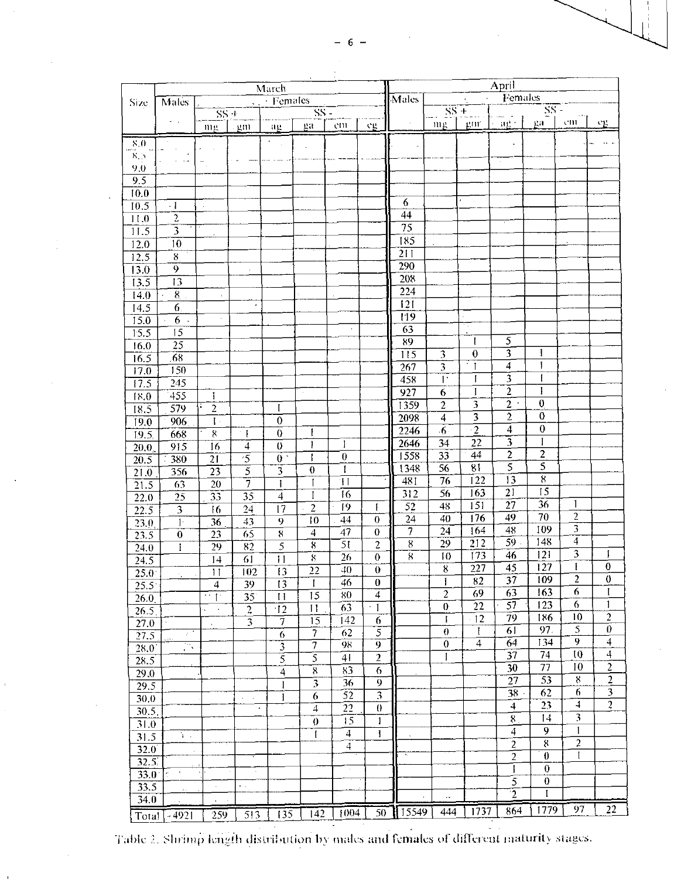|                           |                         |                            |                  | March                             | $\mathbf{A}$                |                 |                             |                         |                                      |                                                | April                            |                         |                           |                          |
|---------------------------|-------------------------|----------------------------|------------------|-----------------------------------|-----------------------------|-----------------|-----------------------------|-------------------------|--------------------------------------|------------------------------------------------|----------------------------------|-------------------------|---------------------------|--------------------------|
| Size.                     | <b>Males</b>            |                            |                  | $\sqrt{\cdot$ Females             |                             |                 |                             | <b>Males</b>            |                                      |                                                | $\overline{\text{Fermales}}$     |                         |                           |                          |
|                           | и.                      | $SS +$                     |                  |                                   | $\overline{\text{SS}}$ =    |                 |                             |                         | $\frac{1}{\sqrt{2}}$ SS +            | $\frac{+}{\text{gmr}}$ $\frac{SS}{\text{gmr}}$ |                                  | $\overline{\rm SS}$     |                           |                          |
|                           |                         | mg                         | - gm             | $\frac{1}{1}$ ag                  | ga                          | em              | $\mathcal{C}$ $\mathcal{C}$ | $\bar{z}$               | mg                                   |                                                |                                  |                         | $^{\circ}$ CHU $^{\circ}$ | $c_{E}$                  |
| 8.0                       |                         |                            |                  |                                   |                             |                 |                             |                         |                                      |                                                |                                  |                         |                           |                          |
| $\kappa$ $>$              | $\sim$ $\sim$           |                            |                  |                                   |                             |                 |                             |                         |                                      |                                                |                                  |                         |                           |                          |
| 9.0                       |                         |                            |                  |                                   |                             |                 |                             |                         |                                      |                                                |                                  |                         |                           |                          |
| 9.5                       |                         |                            |                  |                                   |                             |                 |                             |                         |                                      |                                                |                                  |                         |                           |                          |
| 10.0                      |                         |                            |                  |                                   |                             |                 |                             |                         |                                      |                                                |                                  |                         |                           |                          |
| 10.5                      | $\cdot$ 1               |                            |                  |                                   |                             |                 |                             | 6                       |                                      |                                                |                                  |                         |                           |                          |
| 11.0                      | $\overline{2}$          |                            |                  |                                   |                             |                 |                             | 44                      |                                      |                                                |                                  |                         |                           |                          |
| 11.5                      | $\overline{3}$          |                            |                  |                                   |                             |                 |                             | $\overline{75}$         |                                      |                                                |                                  |                         |                           |                          |
| 12.0                      | 10                      |                            |                  |                                   |                             |                 |                             | 185                     |                                      |                                                |                                  |                         |                           |                          |
| 12.5                      | 8 <sub>1</sub>          |                            |                  |                                   |                             |                 |                             | $\overline{211}$        |                                      |                                                |                                  |                         |                           |                          |
| 13.0                      | $\overline{9}$          |                            | $\epsilon$       |                                   |                             |                 |                             | 290                     |                                      |                                                |                                  |                         |                           |                          |
| 13.5                      | $\overline{13}$         |                            |                  |                                   |                             |                 |                             | 208                     |                                      |                                                |                                  |                         |                           |                          |
| 14.0                      | $\overline{8}$          |                            |                  |                                   |                             |                 |                             | $\overline{224}$        |                                      |                                                |                                  |                         |                           |                          |
| 14.5                      | 6.                      |                            | $\epsilon$       |                                   |                             |                 |                             | 121                     |                                      |                                                |                                  |                         |                           |                          |
| 15.0                      | 6.4                     |                            |                  |                                   |                             |                 |                             | 119                     |                                      |                                                |                                  |                         |                           |                          |
| 15.5                      | 15                      |                            |                  |                                   |                             |                 |                             | $\overline{63}$         |                                      |                                                |                                  |                         |                           |                          |
| 16.0                      | 25                      |                            |                  |                                   |                             |                 |                             | 89                      |                                      | ŧ                                              | $\overline{5}$<br>$\overline{3}$ | 1                       |                           |                          |
| 16.5                      | $\overline{68}$         |                            |                  |                                   |                             |                 |                             | $\overline{115}$        | 3                                    | $\boldsymbol{0}$<br>ा                          | $\overline{4}$                   | $\mathsf{I}$            |                           |                          |
| 17.0                      | 150                     |                            |                  |                                   |                             |                 |                             | 267                     | 3<br>$\overline{\Gamma}$             |                                                | $\overline{\overline{3}}$        | ŧ                       |                           |                          |
| 17.5                      | 245                     |                            |                  |                                   |                             |                 |                             | 458<br>$\overline{927}$ |                                      | $\mathfrak{f}$<br>$\mathbf{I}$                 | $\overline{2}$                   | I                       |                           |                          |
| 18.0                      | 455                     | 1                          |                  |                                   |                             |                 |                             |                         | 6<br>$\overline{2}$                  | $\overline{\mathbf{3}}$                        | $\overline{2}$ :                 | $\boldsymbol{0}$        |                           |                          |
| 18.5                      | 579                     | $\overline{c}$             |                  | I                                 |                             |                 |                             | 1359                    |                                      | $\overline{\mathbf{3}}$                        | $\overline{c}$                   | $\boldsymbol{0}$        |                           |                          |
| 19.0                      | 906                     | $\overline{\Gamma}$        |                  | $\boldsymbol{0}$                  |                             |                 |                             | 2098                    | $\overline{4}$<br>$\overline{6}$     | $\overline{2}$                                 | $\overline{4}$                   | $\pmb{0}$               |                           |                          |
| 19.5                      | 668                     | $8\,$                      | $\pm$            | $\boldsymbol{0}$                  | $\mathbf{1}$                |                 |                             | 2246                    | 34                                   | $\overline{22}$                                | $\overline{\mathbf{3}}$          |                         |                           |                          |
| $\overline{20.0}$         | 915                     | $\overline{16}$            | $\overline{4}$   | $\boldsymbol{0}$                  | Ŧ                           | -1              |                             | 2646<br>1558            | 33                                   | 44                                             | $\overline{2}$                   | $\overline{\mathbf{2}}$ |                           |                          |
| $\overline{20.5}$         | 380                     | $\overline{21}$            | $\overline{5}$   | $\overline{0}$ .                  | 1                           | $\mathbf{0}$    |                             | 1348                    | $\overline{56}$                      | $\overline{81}$                                | $\overline{5}$                   | $\overline{5}$          |                           |                          |
| 21.0                      | 356                     | $\overline{23}$            | $\overline{5}$   | $\overline{3}$                    | $\theta$                    | 1<br>ĪΠ         |                             | 481                     | $\overline{76}$                      | $\overline{1}$ 22                              | $\overline{13}$                  | $\overline{8}$          |                           |                          |
| $\overline{21.5}$         | 63                      | 20                         | 7                | Ĩ                                 | $\mathbf{I}$<br>$\mathbf I$ | $\overline{16}$ |                             | $\overline{312}$        | $\overline{56}$                      | $\overline{163}$                               | $\overline{21}$                  | $\overline{15}$         |                           |                          |
| $\overline{22.0}$         | $\overline{25}$         | $\overline{33}$            | 35               | $\overline{4}$                    | $\overline{2}$              | 19              | $\mathbf{I}$                | $\overline{52}$         | 48                                   | $\overline{1}$ 51                              | $\overline{27}$                  | 36                      | L                         |                          |
| $\overline{22.5}$         | $\overline{\mathbf{3}}$ | 16                         | $\overline{24}$  | $\overline{17}$                   | $\overline{10}$             | $\overline{44}$ | $\theta$                    | 24                      | $\overline{40}$                      | $\overline{176}$                               | 49                               | 70                      | $\overline{c}$            |                          |
| 23.0                      | Ŧ                       | $\overline{36}$            | $\overline{43}$  | $\overline{9}$                    | $\overline{4}$              | $\overline{47}$ | $\overline{0}$              | $\overline{\tau}$       | $\overline{24}$                      | $\overline{164}$                               | $\overline{48}$                  | 109                     | $\overline{3}$            |                          |
| 23.5                      | $\bf{0}$                | 23                         | $\overline{65}$  | $\overline{8}$<br>$\overline{5}$  | $\overline{\mathbf{8}}$     | $\overline{51}$ | $\overline{2}$              | $\overline{8}$          | 29                                   | $\overline{212}$                               | $\overline{59}$ .                | 148                     | $\overline{4}$            |                          |
| 240                       | $\mathbf{I}$            | $\overline{29}$            | $\overline{82}$  |                                   | $8\,$                       | 26              | $\theta$                    | $\overline{8}$          | 10                                   | $\overline{173}$                               | 46                               | 121                     | $\overline{\mathbf{3}}$   | I                        |
| $\frac{24.5}{ }$          |                         | 14                         | $\overline{61}$  | $\overline{1}$<br>$\overline{13}$ | $\overline{22}$             | $\overline{40}$ | $\overline{0}$              |                         | $\overline{\overline{\overline{8}}}$ | $\overline{227}$                               | $\overline{4}5$                  | $\overline{127}$        | Ť                         | $\overline{0}$           |
| $\overline{25.0}$         |                         | $\overline{11}$            | $\overline{102}$ | 13                                | 1                           | 46              | $\bf{0}$                    |                         | 1                                    | 82                                             | 37                               | 109                     | $\overline{2}$            | $\boldsymbol{0}$         |
| $25.5^{\circ}$            |                         | 4<br>$\mathbf{I}^{\prime}$ | 39<br>35         | 11                                | 15                          | 80              | 4                           |                         | $\overline{2}$                       | 69                                             | 63                               | 163                     | $\epsilon$                | $\mathbf{I}$             |
| 26.0<br>$\overline{26.5}$ |                         |                            | $\overline{2}$   | $\overline{12}$                   | $\blacksquare$              | 63              | $\cdot$ 1                   |                         | $\bf{0}$                             | 22                                             | $\overline{57}$                  | 123                     | 6                         | 1                        |
| 27.0                      |                         |                            | 3                | 7                                 | $\overline{15}$             | 142             | 6                           |                         | I                                    | $-12$                                          | 79                               | 186                     | 10                        | $\mathbf{2}$             |
| 27.5                      | УÎ                      |                            |                  | 6                                 | $\overline{\tau}$           | 62              | 5                           |                         | $\theta$                             | Ŧ                                              | $\overline{6}1$                  | 97.                     | 5                         | $\theta$                 |
| 28.0                      | P,                      |                            |                  | $\overline{3}$                    | $\overline{\tau}$           | 98              | $\overline{9}$              |                         | $\pmb{0}$                            | $\overline{\bf{4}}$                            | 64                               | 134                     | $\overline{9}$            | $\overline{\mathcal{L}}$ |
| 28.5                      |                         |                            |                  | $\overline{5}$                    | $\overline{s}$              | 41              | $\overline{2}$              |                         | I                                    |                                                | 37                               | 74                      | $\overline{10}$           | $\overline{4}$           |
| 29.0                      |                         |                            |                  | $\overline{\mathcal{A}}$          | $\mathbf{g}$                | 83              | $\overline{6}$              |                         |                                      |                                                | 30                               | 77                      | 10                        | $\overline{2}$           |
| 29.5                      |                         |                            |                  |                                   |                             | 36              | $\overline{9}$              |                         |                                      |                                                | $\overline{27}$                  | $\overline{53}$         | $8\,$                     | $\overline{2}$           |
| 30.0                      |                         |                            | $\sim$ 14        | 1                                 | 6                           | $\overline{52}$ | $\overline{\mathbf{3}}$     |                         |                                      |                                                | $\overline{38}$                  | 62                      | 6                         | 3                        |
| 30.5.                     |                         |                            | $\blacksquare$   |                                   | $\overline{4}$              | 22              | $\theta$                    |                         |                                      |                                                | $\overline{\mathbf{4}}$          | 23                      | $\downarrow$              | $\overline{c}$           |
| 31.0                      |                         |                            |                  |                                   | $\bar{0}$                   | $\overline{15}$ | 1                           |                         |                                      |                                                | $\overline{\mathbf{8}}$          | 14                      | 3                         |                          |
| 31.5                      | $\mathbf{y}$ .          |                            |                  |                                   | $\mathbf{I}$                | 4               | Ŧ                           |                         |                                      |                                                | 4                                | 9                       | l                         |                          |
| 32.0                      | $\hat{\mathbf{r}}$      |                            |                  |                                   |                             | $\ddot{4}$      |                             |                         |                                      |                                                | $\overline{c}$                   | $8\,$                   | $\overline{2}$            |                          |
| 32.5'                     |                         |                            |                  |                                   |                             |                 |                             |                         |                                      |                                                | $\overline{2}$                   | $\bf{0}$                | $\mathbf{I}$              |                          |
| $33.0^{\circ}$            | $\mathcal{A}$<br>er i   |                            | $\sim$           |                                   |                             |                 |                             |                         |                                      |                                                | Ī                                | $\theta$                |                           |                          |
| 33.5                      |                         | $\epsilon$                 | $\epsilon$ .     |                                   |                             |                 |                             |                         |                                      |                                                | 5                                | $\overline{0}$          |                           |                          |
| 34.0                      |                         |                            |                  |                                   |                             |                 |                             |                         | .,                                   |                                                | $\overline{2}$                   | $\mathbf{I}$            |                           |                          |
| Total                     | $-4921$                 | 259                        | 513              | $\overline{135}$                  | $\overline{142}$            | 1004            | 50                          | 15549                   | 444                                  | $\overline{1737}$                              | 864                              | 1779                    | 97                        | $\overline{2}2$          |
|                           |                         |                            |                  |                                   |                             |                 |                             |                         |                                      |                                                |                                  |                         |                           |                          |

Table 2. Shrimp length distribution by males and females of different maturity stages.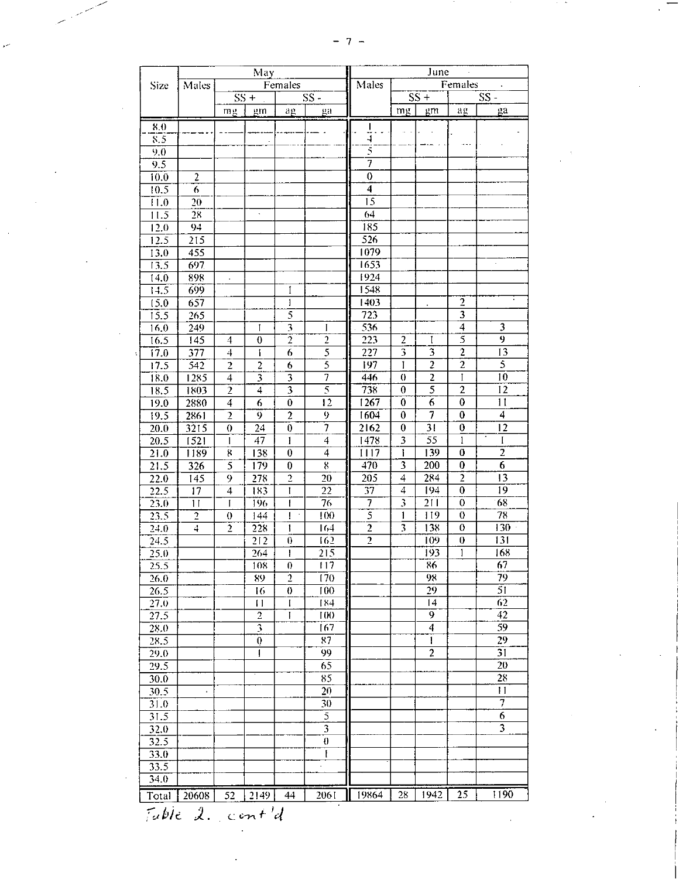|                   |                         |                         |                         |                                      | June<br>$\epsilon$<br>Females |                  |                                        |                           |                                           |                          |  |
|-------------------|-------------------------|-------------------------|-------------------------|--------------------------------------|-------------------------------|------------------|----------------------------------------|---------------------------|-------------------------------------------|--------------------------|--|
| Size              | Males                   |                         |                         | Females                              |                               | Males            |                                        |                           |                                           |                          |  |
|                   |                         |                         | $SS +$                  |                                      | $SS -$                        |                  |                                        | $SS +$                    |                                           | $SS -$                   |  |
|                   |                         | mg                      | gm                      | ag                                   | ga                            |                  | mg                                     | gm                        | ag                                        | $E^a$                    |  |
| 8.0               |                         |                         |                         |                                      |                               | $\frac{1}{4}$ .  |                                        |                           |                                           |                          |  |
| $\overline{8.5}$  |                         |                         |                         |                                      |                               |                  |                                        |                           | $\rightarrow$ $\rightarrow$ $\rightarrow$ |                          |  |
| 9.0               |                         |                         |                         |                                      |                               | 5                |                                        |                           |                                           |                          |  |
| 9.5               |                         |                         |                         |                                      |                               |                  |                                        |                           |                                           |                          |  |
| 10.0              | $\overline{2}$          |                         |                         |                                      |                               | $\boldsymbol{0}$ |                                        |                           |                                           |                          |  |
| 10.5              | $\overline{6}$          |                         |                         |                                      |                               | $\overline{4}$   |                                        |                           |                                           |                          |  |
| $\overline{11.0}$ | 20                      |                         |                         |                                      |                               | $\overline{15}$  |                                        |                           |                                           |                          |  |
| 11.5              | 28                      |                         | $\bullet$               |                                      |                               | 64               |                                        |                           |                                           |                          |  |
| 12.0              | 94                      |                         |                         |                                      |                               | 185              |                                        |                           |                                           |                          |  |
| 12.5              | 215                     |                         |                         |                                      |                               | $\overline{526}$ |                                        |                           |                                           |                          |  |
| 13.0              | 455                     |                         |                         |                                      |                               | 1079             |                                        |                           |                                           |                          |  |
| 13.5              | 697                     |                         |                         |                                      |                               | 1653             |                                        |                           |                                           |                          |  |
| 14.0              | 898                     | $\bullet$               |                         |                                      |                               | 1924             |                                        |                           |                                           |                          |  |
| 14.5              | 699                     |                         |                         | I                                    |                               | 1548<br>1403     |                                        |                           |                                           |                          |  |
| 15.0              | 657                     |                         |                         | $\pmb{\mathsf{l}}$<br>$\overline{5}$ |                               | $\overline{723}$ |                                        |                           | $\overline{2}$<br>$\overline{\mathbf{3}}$ |                          |  |
| 15.5              | 265                     |                         | $\mathbf{I}$            | $\overline{\mathbf{3}}$              | $\mathbf{I}$                  | 536              |                                        |                           | $\overline{4}$                            | $\overline{\mathbf{3}}$  |  |
| 16.0<br>16.5      | 249<br>$\overline{145}$ | $\overline{4}$          | $\overline{0}$          | $\overline{2}$                       | $\overline{2}$                | $\overline{223}$ | $\overline{2}$                         | $\mathbf{I}$              | $\overline{s}$                            | $\overline{9}$           |  |
| 17.0              | 377                     | 4                       | $\mathbf{I}$            | 6                                    | $\overline{5}$                | $\overline{227}$ | $\overline{\mathbf{3}}$                | $\overline{\overline{3}}$ | $\overline{2}$                            | $\overline{13}$          |  |
| 17.5              | 542                     | $\overline{2}$          | $\boldsymbol{2}$        | 6                                    | $\overline{5}$                | 197              | T                                      | $\overline{c}$            | $\overline{2}$                            | $\overline{\mathcal{L}}$ |  |
| 18.0              | 1285                    | 4                       | 3                       | $\overline{\mathbf{3}}$              |                               | 446              | $\theta$                               | $\overline{\mathbf{c}}$   | $\mathbf{I}$                              | 10                       |  |
| 18.5              | 1803                    | $\overline{2}$          | $\overline{4}$          | $\overline{\mathbf{3}}$              | $\overline{\mathcal{S}}$      | 738              | $\boldsymbol{0}$                       | $\overline{\mathsf{s}}$   | $\overline{2}$                            | $\overline{12}$          |  |
| 19.0              | 2880                    | $\overline{4}$          | $\overline{6}$          | $\bf{0}$                             | $\overline{12}$               | 1267             | $\bf{0}$                               | $\overline{6}$            | $\overline{0}$                            | $\overline{11}$          |  |
| 19.5              | 2861                    | $\overline{2}$          | 9                       | $\overline{2}$                       | $\overline{9}$                | 1604             | $\mathbf{0}$                           | $\overline{7}$            | $\boldsymbol{0}$                          | 4                        |  |
| $\overline{20.0}$ | 3215                    | $\theta$                | 24                      | $\bar{0}$                            | $\overline{\tau}$             | 2162             | $\overline{0}$                         | $\overline{31}$           | $\boldsymbol{0}$                          | 12                       |  |
| 20.5              | 1521                    | $\mathbf{I}$            | $\overline{47}$         | 1                                    | $\overline{4}$                | 1478             | 3                                      | $\overline{55}$           | $\mathbf{1}$                              | $\mathbf I$              |  |
| 21.0              | 1189                    | $\mathbf{g}$            | 138                     | $\overline{0}$                       | $\overline{4}$                | 1117             | $\mathbf{I}$                           | 139                       | $\overline{0}$                            | $\overline{2}$           |  |
| 21.5              | 326                     | $\overline{5}$          | 179                     | $\boldsymbol{0}$                     | $8\,$                         | 470              | 3                                      | 200                       | $\boldsymbol{0}$                          | 6                        |  |
| $\overline{22.0}$ | 145                     | 9                       | 278                     | $\overline{2}$                       | 20                            | 205              | 4                                      | 284                       | $\overline{2}$                            | 13                       |  |
| 22.5              | $\overline{17}$         | $\overline{\mathbf{4}}$ | 183                     | $\mathbf{I}$                         | $\overline{22}$               | $\overline{37}$  | $\overline{4}$                         | 194                       | $\overline{0}$                            | 19                       |  |
| 23.0              | 11                      | $\mathbf{I}$            | 196                     | ŧ                                    | 76                            |                  | $\overline{\boldsymbol{\mathfrak{z}}}$ | 211                       | $\overline{0}$                            | 68                       |  |
| $\overline{23.5}$ | $\overline{2}$          | $\theta$                | 144                     | ŧ<br>$\cdot$                         | 100                           | $\overline{5}$   | 1                                      | 119                       | $\theta$                                  | 78                       |  |
| 24.0              | $\overline{4}$          | $\overline{2}$          | 228                     | T                                    | 164                           | $\overline{2}$   | 3                                      | 138                       | $\boldsymbol{0}$                          | 130                      |  |
| 24.5              |                         |                         | $\overline{212}$        | $\theta$                             | 162                           | $\overline{2}$   |                                        | 109                       | $\boldsymbol{0}$                          | 131                      |  |
| 25.0              |                         |                         | 264                     | 1                                    | 215                           |                  |                                        | 193                       | 1                                         | 168                      |  |
| 25.5              |                         |                         | 108                     | $\boldsymbol{0}$                     | 117                           |                  |                                        | 86                        |                                           | 67                       |  |
| 26.0              |                         |                         | 89                      | $\overline{2}$                       | 170                           |                  |                                        | 98                        |                                           | 79                       |  |
| 26.5              |                         |                         | 16                      | $\theta$                             | 100                           |                  |                                        | $\overline{29}$           |                                           | $\overline{51}$          |  |
| $\overline{27.0}$ |                         |                         | $\blacksquare$          | $\mathbf{I}$                         | 184                           |                  |                                        | $\overline{14}$           |                                           | 62                       |  |
| 27.5              |                         |                         | $\overline{2}$          | $\mathbf{I}$                         | 100                           |                  |                                        | $\overline{9}$            |                                           | 42                       |  |
| 28.0              |                         |                         | $\overline{\mathbf{3}}$ |                                      | 167                           |                  |                                        | $\overline{4}$            |                                           | 59                       |  |
| 28.5              |                         |                         | $\overline{0}$          |                                      | 87                            |                  |                                        | Ŧ                         |                                           | 29                       |  |
| 29.0              |                         |                         | ł                       |                                      | 99                            |                  |                                        | $\overline{2}$            |                                           | $\overline{31}$          |  |
| 29.5              |                         |                         |                         |                                      | 65                            |                  |                                        |                           |                                           | 20                       |  |
| 30.0              |                         |                         |                         |                                      | 85                            |                  |                                        |                           |                                           | 28                       |  |
| 30.5              |                         |                         |                         |                                      | $\overline{20}$               |                  |                                        |                           |                                           | $\overline{11}$          |  |
| 31.0              |                         |                         |                         |                                      | 30                            |                  |                                        |                           |                                           | $\overline{\tau}$        |  |
| 31.5              |                         |                         |                         |                                      | $\overline{5}$                |                  |                                        |                           |                                           | $\overline{6}$           |  |
| 32.0              |                         |                         |                         |                                      | $\overline{3}$                |                  |                                        |                           |                                           |                          |  |
| 32.5              |                         |                         |                         |                                      | $\theta$                      |                  |                                        |                           |                                           |                          |  |
| 33.0              |                         |                         |                         |                                      | ŧ                             |                  |                                        |                           |                                           |                          |  |
| 33.5              |                         |                         |                         |                                      | $\cdot$                       |                  |                                        |                           |                                           |                          |  |
| 34.0              |                         |                         |                         |                                      |                               |                  |                                        |                           |                                           |                          |  |
|                   | 20608                   |                         | $52 \mid 2149 \mid$     | 44                                   | 2061                          | 19864            | 28                                     | 1942                      | 25                                        | 1190                     |  |
| Total             |                         |                         |                         |                                      |                               |                  |                                        |                           |                                           |                          |  |

 $\label{eq:2.1} \frac{1}{\sqrt{2}}\int_{0}^{\infty}\frac{dx}{\sqrt{2\pi}}\,dx$ 

 $\mathcal{L}$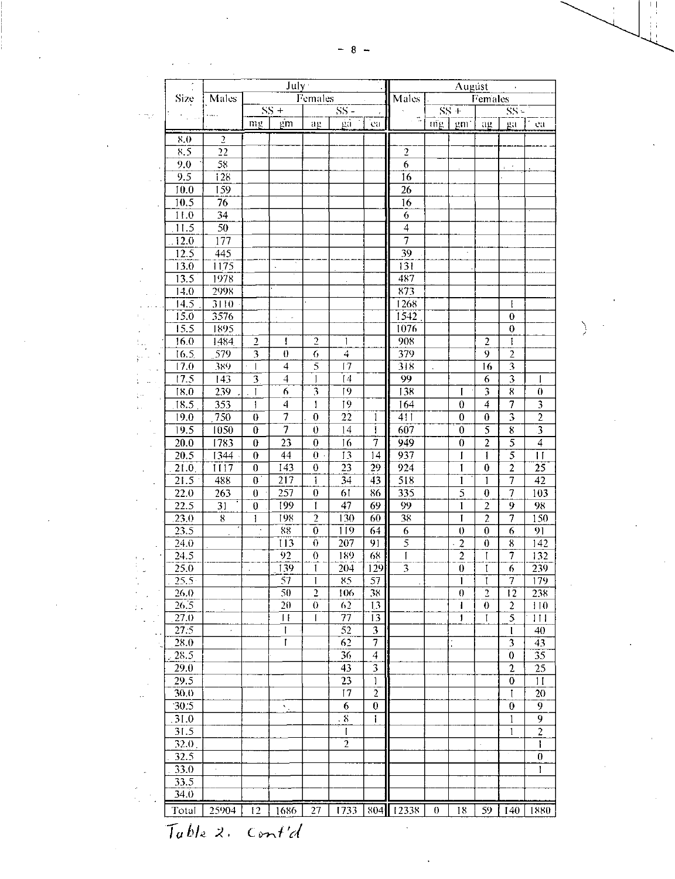$\frac{1}{2}$ 

|      |                           |                       |                               | July:                  | Augúst                     |                          |                              |                     |                |                            |                      |                                             |                                    |
|------|---------------------------|-----------------------|-------------------------------|------------------------|----------------------------|--------------------------|------------------------------|---------------------|----------------|----------------------------|----------------------|---------------------------------------------|------------------------------------|
|      | Size                      | Males                 |                               |                        | Females                    |                          |                              | Males<br>Females    |                |                            |                      |                                             |                                    |
| r my |                           |                       |                               | $SS +$                 |                            | $\overline{\text{SS}}$ - |                              |                     |                | $SS +$                     |                      | $SS -$                                      |                                    |
|      |                           |                       | mg                            | gm                     | $a_E$                      | ga                       | <b>Ca</b>                    | π.                  | $\text{mg}$    | gm'                        | ağ                   | ga                                          | ea                                 |
|      | 8.0                       | $\overline{2}$        |                               |                        |                            |                          |                              |                     |                |                            |                      |                                             |                                    |
|      | 8.5                       | 22                    |                               |                        |                            |                          |                              | $\overline{2}$      |                |                            |                      |                                             |                                    |
|      | 9.0                       | 58                    |                               |                        |                            |                          |                              | 6                   |                |                            |                      | $\mathcal{A}$                               |                                    |
|      | 9.5                       | 128                   |                               |                        |                            |                          |                              | 16                  |                |                            |                      |                                             |                                    |
|      | 10.0                      | 159                   |                               |                        |                            |                          |                              | 26                  |                |                            |                      |                                             |                                    |
|      | 10.5                      | 76                    |                               |                        |                            |                          |                              | 16                  |                |                            |                      |                                             |                                    |
|      | 11.0<br>11.5              | 34<br>$\overline{50}$ |                               |                        |                            |                          |                              | 6<br>$\overline{4}$ |                |                            |                      |                                             |                                    |
|      | 12.0                      | 177                   |                               |                        |                            |                          |                              | 7                   |                |                            |                      |                                             |                                    |
|      | 12.5                      | 445                   |                               |                        |                            |                          |                              | 39                  |                |                            |                      |                                             |                                    |
|      | 13.0                      | 1175                  |                               |                        |                            |                          |                              | 131                 |                |                            |                      |                                             |                                    |
|      | 13.5                      | 1978                  |                               |                        |                            |                          |                              | 487                 |                |                            |                      |                                             |                                    |
|      | 14.0                      | 2998                  |                               |                        |                            |                          |                              | 873                 |                |                            |                      |                                             |                                    |
|      | 14.5                      | $\overline{3110}$     |                               |                        |                            |                          |                              | 1268                |                |                            |                      | ţ                                           |                                    |
|      | 15.0                      | 3576                  |                               | J.<br>$\cdot$          |                            |                          |                              | 1542                |                |                            |                      | $\theta$                                    |                                    |
|      | 15.5                      | 1895                  |                               | $\epsilon$             |                            |                          |                              | 1076                |                |                            |                      | 0                                           |                                    |
|      | 16.0                      | 1484                  | $\overline{2}$                | ł                      | $\overline{c}$             | 1                        |                              | 908                 |                |                            | $\overline{2}$       | I                                           |                                    |
|      | 16.5                      | 579                   | $\overline{\mathbf{3}}$       | $\theta$               | 6<br>$\overline{5}$        | 4                        |                              | 379                 |                |                            | $\overline{9}$       | $\overline{2}$                              |                                    |
|      | 17.0<br>$\overline{17.5}$ | 389<br>143            | $\overline{\phantom{a}}$<br>3 | 4<br>4                 | 1                          | $\overline{17}$<br>[4]   |                              | 318<br>99           | $\overline{a}$ |                            | $\overline{16}$<br>6 | $\overline{\mathbf{3}}$<br>3                |                                    |
|      | 18.0                      | 239                   | ĺ                             | 6                      | $\overline{\mathbf{3}}$    | 19                       |                              | 138                 |                | I                          | 3                    | 8                                           | 1<br>0                             |
|      | 18.5                      | 353                   | $\mathbf{1}$                  | 4                      | 1                          | 19                       |                              | 164                 |                | $\boldsymbol{0}$           | $\overline{4}$       | 7                                           | $\overline{\mathbf{3}}$            |
|      | 19.0                      | 750                   | $\boldsymbol{0}$              | 7                      | $\boldsymbol{0}$           | 22                       | 1                            | 411                 |                | $\overline{0}$             | $\boldsymbol{0}$     | $\overline{\mathbf{3}}$                     | $\overline{2}$                     |
|      | 19.5                      | 1050                  | $\theta$                      |                        | $\boldsymbol{0}$           | 14                       | 1                            | 607                 |                | $\bf{0}$                   | $\overline{5}$       | 8                                           |                                    |
|      | 20.0                      | 1783                  | $\bf{0}$                      | 23                     | $\theta$                   | 16                       | $\overline{7}$               | 949                 |                | $\boldsymbol{0}$           | $\overline{2}$       | $\overline{5}$                              | $\overline{\mathbf{4}}$            |
|      | $\overline{20.5}$         | 1344                  | $\bf{0}$                      | $\overline{44}$        | $\theta$                   | $\overline{13}$          | 14                           | 937                 |                | Î                          | 1                    | $\overline{5}$                              | Ħ                                  |
|      | 21.0                      | 1117                  | $\bf{0}$                      | 143                    | $\boldsymbol{0}$           | $\overline{23}$          | 29                           | 924                 |                | $\mathbf{I}$               | $\bf{0}$             | $\overline{2}$                              | 25                                 |
|      | 21.5                      | 488                   | $\overline{0}$                | 217                    | Ĩ                          | 34                       | 43                           | 518                 |                | $\mathbf{I}$               | $\mathbf{I}$         | 7                                           | $\overline{42}$                    |
|      | 22.0                      | 263                   | $\boldsymbol{0}$              | 257                    | $\boldsymbol{0}$           | 61                       | 86                           | 335                 |                | $\overline{5}$             | $\bf{0}$             | 7                                           | 103                                |
|      | 22.5                      | 31                    | $\overline{0}$                | 199                    | l                          | $\overline{47}$          | 69                           | 99                  |                | $\mathbf{I}$               | $\overline{2}$       | $\overline{9}$                              | 98                                 |
|      | .23.0                     | 8                     | 1<br>$\tilde{\phantom{a}}$    | 198<br>$\overline{88}$ | $\overline{2}$             | 130                      | 60                           | 38                  |                | I                          | $\overline{2}$       | $\overline{7}$                              | 150                                |
|      | 23.5<br>24.0              |                       |                               | $\overline{113}$       | $\theta$<br>$\overline{0}$ | 119<br>$\overline{207}$  | 64<br>$\overline{91}$        | 6<br>$\overline{5}$ |                | $\theta$<br>$\mathfrak{p}$ | $\bf{0}$<br>$\theta$ | 6<br>8                                      | 91<br>$\overline{142}$             |
|      | 24.5                      |                       |                               | 92                     | $\theta$                   | 189                      | 68                           | 1                   |                | $\overline{2}$             |                      | $\overline{1}$                              | 132                                |
|      | 25.0                      |                       |                               | 139                    | $\mathbf{I}$               | 204                      | 129                          | $\overline{3}$      |                | $\boldsymbol{0}$           | I                    | 6                                           | 239                                |
|      | 25.5                      |                       |                               | 57                     | Ĩ                          | 85                       | 57                           |                     |                | 1                          | ľ                    | $\overline{7}$                              | $\overline{179}$                   |
|      | 26.0                      |                       |                               | 50                     | $\overline{2}$             | 106                      | 38                           |                     |                | $\theta$                   | $\overline{3}$       | $\overline{12}$                             | 238                                |
|      | 26.5                      |                       |                               | 20                     | $\overline{0}$             | 6 <sub>2</sub>           | $\overline{13}$              |                     |                | 1                          | $\boldsymbol{0}$     | $\overline{2}$                              | 110                                |
|      | 27.0                      |                       |                               | $\mathbf{H}$           | ſ                          | 77                       | 13                           |                     |                | $\mathbf{I}$               | L                    | 5                                           | 111                                |
|      | 27.5                      | $\epsilon$            |                               | Ť                      |                            | $\overline{52}$          | $\overline{\mathbf{3}}$<br>7 |                     |                |                            |                      | l                                           | 40                                 |
|      | 28.0<br>28.5              |                       |                               | I                      |                            | 62<br>$\overline{36}$    | $\overline{4}$               |                     |                |                            |                      | $\overline{\mathbf{3}}$<br>$\boldsymbol{0}$ | $\overline{43}$<br>$\overline{35}$ |
|      | 29.0                      |                       |                               |                        |                            | 43                       | $\overline{\mathbf{3}}$      |                     |                |                            |                      | $\overline{2}$                              | 25                                 |
|      | $\overline{29.5}$         |                       |                               |                        |                            | $\overline{23}$          | 1                            |                     |                |                            |                      | $\overline{0}$                              | 11                                 |
|      | 30.0                      |                       |                               |                        |                            | 17                       | $\overline{2}$               |                     |                |                            |                      | I                                           | 20                                 |
|      | 30.5                      |                       |                               | ×.,                    |                            | $\overline{6}$           | $\boldsymbol{0}$             |                     |                |                            |                      | $\boldsymbol{0}$                            | 9                                  |
|      | 31.0                      |                       |                               |                        |                            | $^{\circ}8$              | 1                            |                     |                |                            |                      | 1                                           | 9                                  |
|      | 31.5                      |                       |                               |                        |                            | $\mathbf{I}$             |                              |                     |                |                            |                      | 1                                           | $\overline{2}$                     |
|      | $\overline{32.0}$ .       |                       |                               |                        |                            | $\overline{2}$           |                              |                     |                |                            |                      |                                             | ł                                  |
|      | 32.5                      |                       |                               |                        |                            |                          |                              |                     |                |                            |                      |                                             | $\pmb{0}$                          |
|      | 33.0                      |                       |                               |                        |                            |                          |                              |                     |                |                            |                      |                                             | ŀ                                  |
|      | 33.5                      |                       |                               |                        |                            |                          |                              |                     |                |                            |                      |                                             |                                    |
|      | 34.0                      |                       |                               |                        |                            |                          |                              |                     |                |                            |                      |                                             |                                    |
|      | Total                     | 25904                 | $\overline{12}$               | 1686                   | 27                         | 1733                     |                              | 804 12338           | $\theta$       | 18                         | 59                   | 140                                         | 1880                               |

 $\sum_{i=1}^n \frac{1}{i}$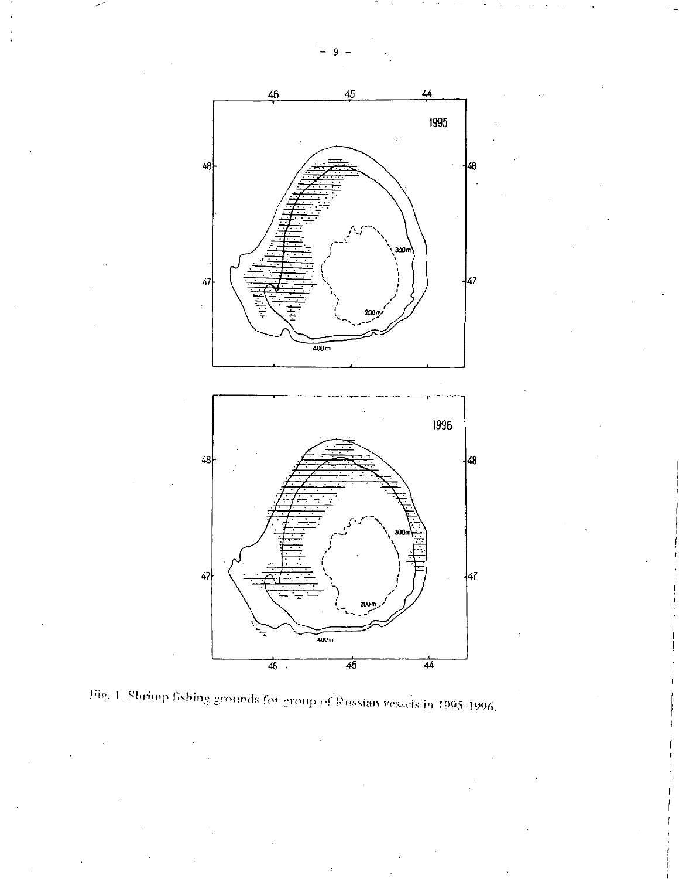

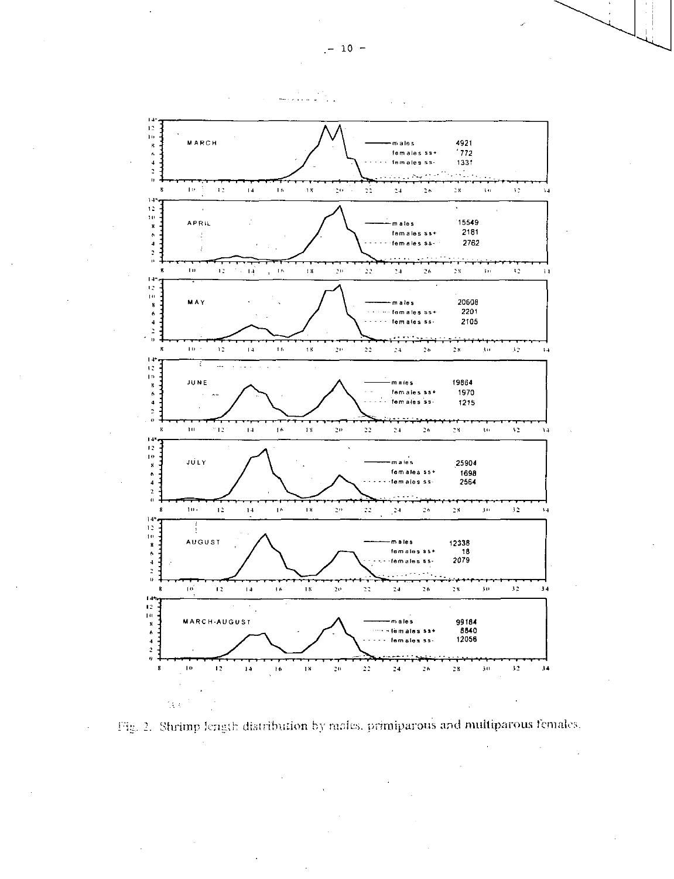